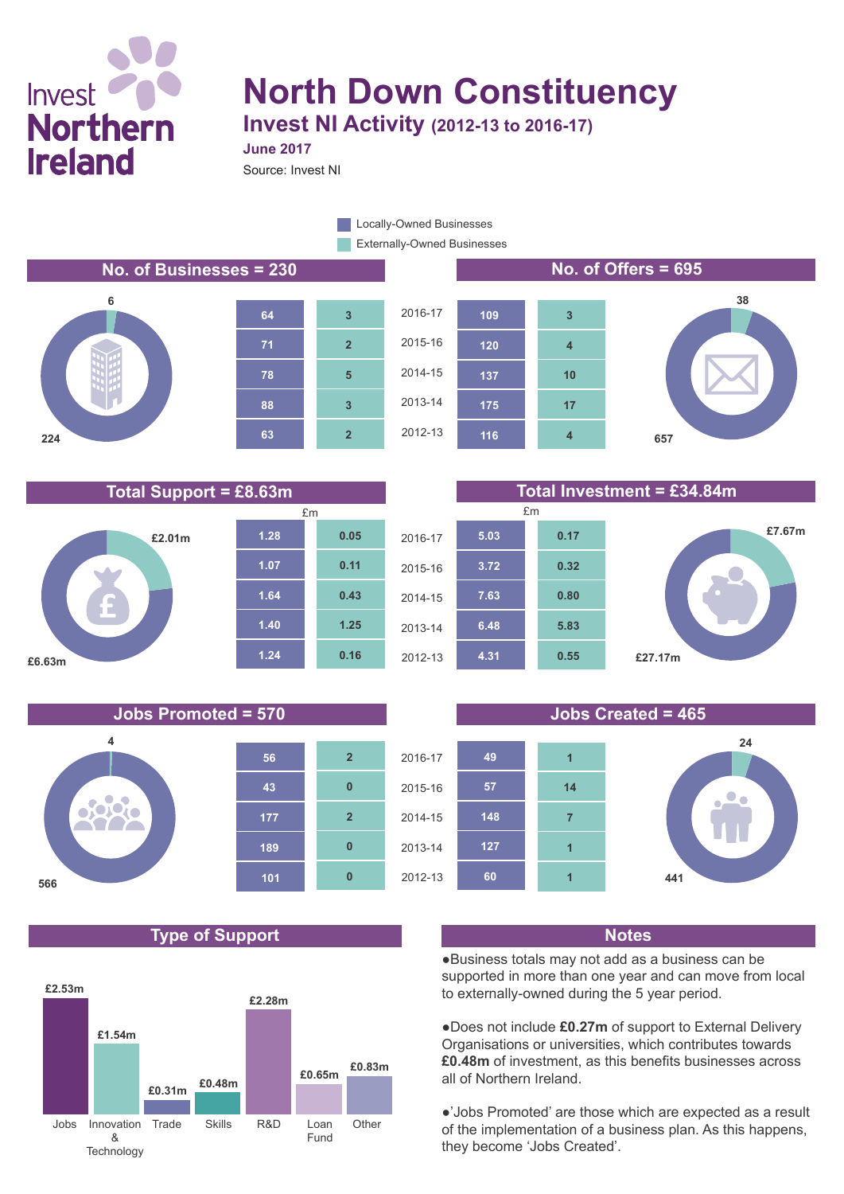# Invest **Northern Ireland**

## **North Down Constituency Invest NI Activity (2012-13 to 2016-17)**

**June 2017**

Source: Invest NI

Externally-Owned Businesses **Locally-Owned Businesses** 

**No. of Businesses = 230 No. of Offers = 695**











**Total Support = £8.63m Total Investment = £34.84m**





### **Type of Support Notes**







●Business totals may not add as a business can be supported in more than one year and can move from local to externally-owned during the 5 year period.

●Does not include **£0.27m** of support to External Delivery Organisations or universities, which contributes towards **£0.48m** of investment, as this benefits businesses across all of Northern Ireland.

●'Jobs Promoted' are those which are expected as a result of the implementation of a business plan. As this happens, they become 'Jobs Created'.